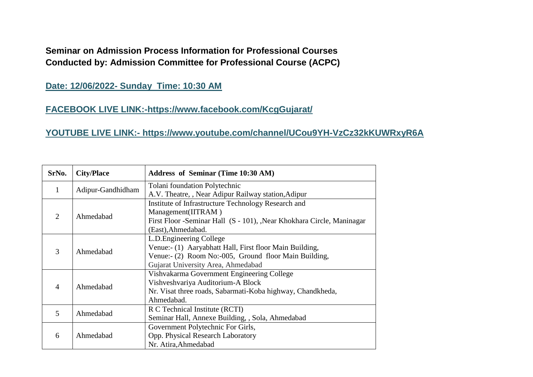## **Seminar on Admission Process Information for Professional Courses Conducted by: Admission Committee for Professional Course (ACPC)**

## **Date: 12/06/2022- Sunday Time: 10:30 AM**

## **FACEBOOK LIVE LINK:-https://www.facebook.com/KcgGujarat/**

## **YOUTUBE LIVE LINK:- https://www.youtube.com/channel/UCou9YH-VzCz32kKUWRxyR6A**

| SrNo.          | <b>City/Place</b> | <b>Address of Seminar (Time 10:30 AM)</b>                              |
|----------------|-------------------|------------------------------------------------------------------------|
| 1              | Adipur-Gandhidham | Tolani foundation Polytechnic                                          |
|                |                   | A.V. Theatre, , Near Adipur Railway station, Adipur                    |
| $\overline{2}$ | Ahmedabad         | Institute of Infrastructure Technology Research and                    |
|                |                   | Management(IITRAM)                                                     |
|                |                   | First Floor -Seminar Hall (S - 101), , Near Khokhara Circle, Maninagar |
|                |                   | (East), Ahmedabad.                                                     |
|                | Ahmedabad         | L.D. Engineering College                                               |
| 3              |                   | Venue:- (1) Aaryabhatt Hall, First floor Main Building,                |
|                |                   | Venue:- (2) Room No:-005, Ground floor Main Building,                  |
|                |                   | Gujarat University Area, Ahmedabad                                     |
|                | Ahmedabad         | Vishvakarma Government Engineering College                             |
| 4              |                   | Vishveshvariya Auditorium-A Block                                      |
|                |                   | Nr. Visat three roads, Sabarmati-Koba highway, Chandkheda,             |
|                |                   | Ahmedabad.                                                             |
| 5              | Ahmedabad         | R C Technical Institute (RCTI)                                         |
|                |                   | Seminar Hall, Annexe Building, , Sola, Ahmedabad                       |
| 6              | Ahmedabad         | Government Polytechnic For Girls,                                      |
|                |                   | Opp. Physical Research Laboratory                                      |
|                |                   | Nr. Atira, Ahmedabad                                                   |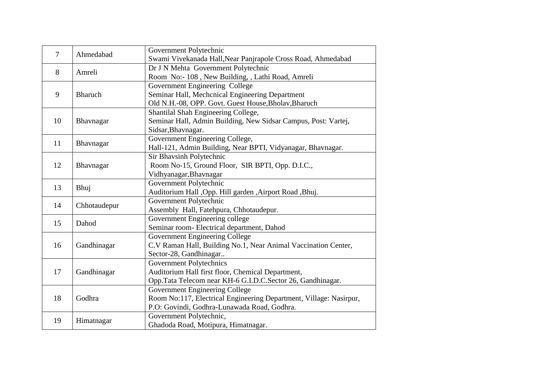| $\overline{7}$ | Ahmedabad      | Government Polytechnic                                             |
|----------------|----------------|--------------------------------------------------------------------|
|                |                | Swami Vivekanada Hall, Near Panjrapole Cross Road, Ahmedabad       |
| 8              | Amreli         | Dr J N Mehta Government Polytechnic                                |
|                |                | Room No:- 108, New Building, , Lathi Road, Amreli                  |
|                | <b>Bharuch</b> | Government Engineering College                                     |
| 9              |                | Seminar Hall, Mechenical Engineering Department                    |
|                |                | Old N.H.-08, OPP. Govt. Guest House, Bholav, Bharuch               |
|                |                | Shantilal Shah Engineering College,                                |
| 10             | Bhavnagar      | Seminar Hall, Admin Building, New Sidsar Campus, Post: Vartej,     |
|                |                | Sidsar, Bhavnagar.                                                 |
|                |                | Government Engineering College,                                    |
| 11             | Bhavnagar      | Hall-121, Admin Building, Near BPTI, Vidyanagar, Bhavnagar.        |
|                |                | Sir Bhavsinh Polytechnic                                           |
| 12             | Bhavnagar      | Room No-15, Ground Floor, SIR BPTI, Opp. D.I.C.,                   |
|                |                | Vidhyanagar, Bhavnagar                                             |
|                |                | Government Polytechnic                                             |
| 13             | Bhuj           | Auditorium Hall , Opp. Hill garden , Airport Road , Bhuj.          |
|                | Chhotaudepur   | Government Polytechnic                                             |
| 14             |                | Assembly Hall, Fatehpura, Chhotaudepur.                            |
| 15             | Dahod          | Government Engineering college                                     |
|                |                | Seminar room- Electrical department, Dahod                         |
|                | Gandhinagar    | Government Engineering College                                     |
| 16             |                | C.V Raman Hall, Building No.1, Near Animal Vaccination Center,     |
|                |                | Sector-28, Gandhinagar                                             |
|                | Gandhinagar    | <b>Government Polytechnics</b>                                     |
| 17             |                | Auditorium Hall first floor, Chemical Department,                  |
|                |                | Opp.Tata Telecom near KH-6 G.I.D.C.Sector 26, Gandhinagar.         |
| 18             | Godhra         | Government Engineering College                                     |
|                |                | Room No:117, Electrical Engineering Department, Village: Nasirpur, |
|                |                | P.O: Govindi, Godhra-Lunawada Road, Godhra.                        |
| 19             | Himatnagar     | Government Polytechnic,                                            |
|                |                | Ghadoda Road, Motipura, Himatnagar.                                |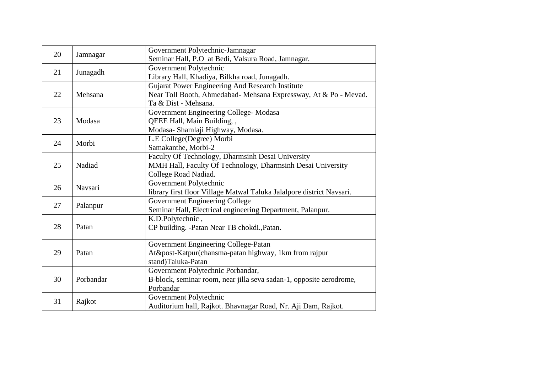| 20 | Jamnagar  | Government Polytechnic-Jamnagar                                       |
|----|-----------|-----------------------------------------------------------------------|
|    |           | Seminar Hall, P.O at Bedi, Valsura Road, Jamnagar.                    |
| 21 | Junagadh  | Government Polytechnic                                                |
|    |           | Library Hall, Khadiya, Bilkha road, Junagadh.                         |
| 22 | Mehsana   | Gujarat Power Engineering And Research Institute                      |
|    |           | Near Toll Booth, Ahmedabad- Mehsana Expressway, At & Po - Mevad.      |
|    |           | Ta & Dist - Mehsana.                                                  |
|    |           | Government Engineering College-Modasa                                 |
| 23 | Modasa    | QEEE Hall, Main Building,,                                            |
|    |           | Modasa- Shamlaji Highway, Modasa.                                     |
| 24 | Morbi     | L.E College(Degree) Morbi                                             |
|    |           | Samakanthe, Morbi-2                                                   |
|    |           | Faculty Of Technology, Dharmsinh Desai University                     |
| 25 | Nadiad    | MMH Hall, Faculty Of Technology, Dharmsinh Desai University           |
|    |           | College Road Nadiad.                                                  |
| 26 | Navsari   | Government Polytechnic                                                |
|    |           | library first floor Village Matwal Taluka Jalalpore district Navsari. |
| 27 | Palanpur  | Government Engineering College                                        |
|    |           | Seminar Hall, Electrical engineering Department, Palanpur.            |
|    |           | K.D.Polytechnic,                                                      |
| 28 | Patan     | CP building. - Patan Near TB chokdi., Patan.                          |
|    |           |                                                                       |
| 29 | Patan     | Government Engineering College-Patan                                  |
|    |           | At&post-Katpur(chansma-patan highway, 1km from rajpur                 |
|    |           | stand)Taluka-Patan                                                    |
| 30 | Porbandar | Government Polytechnic Porbandar,                                     |
|    |           | B-block, seminar room, near jilla seva sadan-1, opposite aerodrome,   |
|    |           | Porbandar                                                             |
| 31 | Rajkot    | Government Polytechnic                                                |
|    |           | Auditorium hall, Rajkot. Bhavnagar Road, Nr. Aji Dam, Rajkot.         |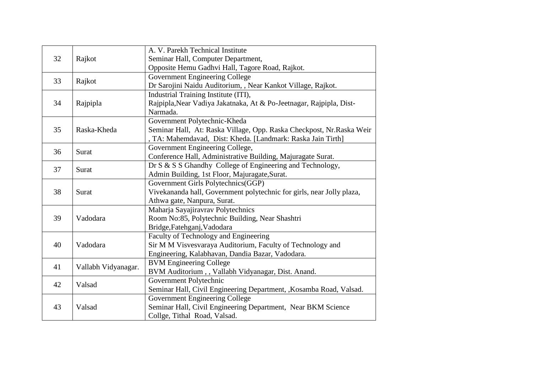|    |                     | A. V. Parekh Technical Institute                                      |
|----|---------------------|-----------------------------------------------------------------------|
| 32 | Rajkot              | Seminar Hall, Computer Department,                                    |
|    |                     | Opposite Hemu Gadhvi Hall, Tagore Road, Rajkot.                       |
| 33 | Rajkot              | Government Engineering College                                        |
|    |                     | Dr Sarojini Naidu Auditorium, , Near Kankot Village, Rajkot.          |
|    | Rajpipla            | Industrial Training Institute (ITI),                                  |
| 34 |                     | Rajpipla, Near Vadiya Jakatnaka, At & Po-Jeetnagar, Rajpipla, Dist-   |
|    |                     | Narmada.                                                              |
|    |                     | Government Polytechnic-Kheda                                          |
| 35 | Raska-Kheda         | Seminar Hall, At: Raska Village, Opp. Raska Checkpost, Nr. Raska Weir |
|    |                     | , TA: Mahemdavad, Dist: Kheda. [Landmark: Raska Jain Tirth]           |
| 36 | Surat               | Government Engineering College,                                       |
|    |                     | Conference Hall, Administrative Building, Majuragate Surat.           |
| 37 | Surat               | Dr S & S S Ghandhy College of Engineering and Technology,             |
|    |                     | Admin Building, 1st Floor, Majuragate, Surat.                         |
|    | Surat               | Government Girls Polytechnics(GGP)                                    |
| 38 |                     | Vivekananda hall, Government polytechnic for girls, near Jolly plaza, |
|    |                     | Athwa gate, Nanpura, Surat.                                           |
|    |                     | Maharja Sayajiravrav Polytechnics                                     |
| 39 | Vadodara            | Room No:85, Polytechnic Building, Near Shashtri                       |
|    |                     | Bridge, Fatehganj, Vadodara                                           |
|    | Vadodara            | Faculty of Technology and Engineering                                 |
| 40 |                     | Sir M M Visvesvaraya Auditorium, Faculty of Technology and            |
|    |                     | Engineering, Kalabhavan, Dandia Bazar, Vadodara.                      |
| 41 | Vallabh Vidyanagar. | <b>BVM Engineering College</b>                                        |
|    |                     | BVM Auditorium,, Vallabh Vidyanagar, Dist. Anand.                     |
| 42 | Valsad              | Government Polytechnic                                                |
|    |                     | Seminar Hall, Civil Engineering Department, , Kosamba Road, Valsad.   |
| 43 | Valsad              | <b>Government Engineering College</b>                                 |
|    |                     | Seminar Hall, Civil Engineering Department, Near BKM Science          |
|    |                     | Collge, Tithal Road, Valsad.                                          |